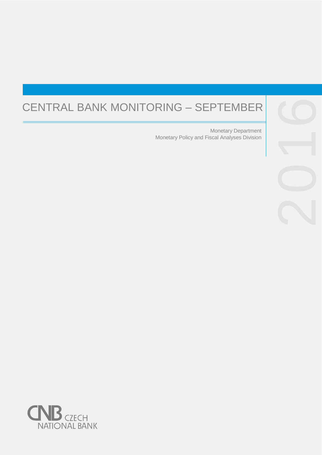# CENTRAL BANK MONITORING – SEPTEMBER

Monetary Policy and Fiscal Analyses Division Monetary Department



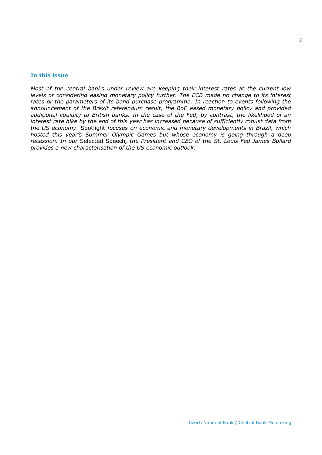#### **In this issue**

*Most of the central banks under review are keeping their interest rates at the current low levels or considering easing monetary policy further. The ECB made no change to its interest rates or the parameters of its bond purchase programme. In reaction to events following the announcement of the Brexit referendum result, the BoE eased monetary policy and provided additional liquidity to British banks. In the case of the Fed, by contrast, the likelihood of an interest rate hike by the end of this year has increased because of sufficiently robust data from the US economy.* Spotlight *focuses on economic and monetary developments in Brazil, which hosted this year's Summer Olympic Games but whose economy is going through a deep recession. In our* Selected Speech*, the President and CEO of the St. Louis Fed James Bullard provides a new characterisation of the US economic outlook.*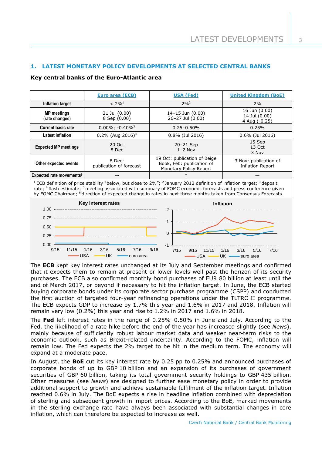# **1. LATEST MONETARY POLICY DEVELOPMENTS AT SELECTED CENTRAL BANKS**

#### **Key central banks of the Euro-Atlantic area**

|                                      | <b>Euro area (ECB)</b>            | <b>USA (Fed)</b>                                                                    | <b>United Kingdom (BoE)</b>                      |
|--------------------------------------|-----------------------------------|-------------------------------------------------------------------------------------|--------------------------------------------------|
| Inflation target                     | $< 2\%^{1}$                       | $2\%^{2}$                                                                           | 2%                                               |
| <b>MP</b> meetings<br>(rate changes) | 21 Jul (0.00)<br>8 Sep (0.00)     | $14 - 15$ Jun $(0.00)$<br>26-27 Jul (0.00)                                          | 16 Jun (0.00)<br>14 Jul (0.00)<br>4 Aug (-0.25)  |
| <b>Current basic rate</b>            | $0.00\%$ ; -0.40% <sup>3</sup>    | $0.25 - 0.50\%$                                                                     | 0.25%                                            |
| Latest inflation                     | $0.2\%$ (Aug 2016) <sup>4</sup>   | $0.8\%$ (Jul 2016)                                                                  | $0.6\%$ (Jul 2016)                               |
| <b>Expected MP meetings</b>          | 20 Oct<br>8 Dec                   | $20-21$ Sep<br>$1 - 2$ Nov                                                          | 15 Sep<br>13 Oct<br>3 Nov                        |
| Other expected events                | 8 Dec:<br>publication of forecast | 19 Oct: publication of Beige<br>Book, Feb: publication of<br>Monetary Policy Report | 3 Nov: publication of<br><b>Inflation Report</b> |
| Expected rate movements <sup>6</sup> | $\rightarrow$                     |                                                                                     | $\rightarrow$                                    |

<sup>1</sup> ECB definition of price stability "below, but close to 2%"; <sup>2</sup> January 2012 definition of inflation target; <sup>3</sup> deposit rate; <sup>4</sup> flash estimate; <sup>5</sup> meeting associated with summary of FOMC economic forecasts and press conference given by FOMC Chairman; <sup>6</sup> direction of expected change in rates in next three months taken from Consensus Forecasts.



The **ECB** kept key interest rates unchanged at its July and September meetings and confirmed that it expects them to remain at present or lower levels well past the horizon of its security purchases. The ECB also confirmed monthly bond purchases of EUR 80 billion at least until the end of March 2017, or beyond if necessary to hit the inflation target. In June, the ECB started buying corporate bonds under its corporate sector purchase programme (CSPP) and conducted the first auction of targeted four-year refinancing operations under the TLTRO II programme. The ECB expects GDP to increase by 1.7% this year and 1.6% in 2017 and 2018. Inflation will remain very low (0.2%) this year and rise to 1.2% in 2017 and 1.6% in 2018.

The **Fed** left interest rates in the range of 0.25%–0.50% in June and July. According to the Fed, the likelihood of a rate hike before the end of the year has increased slightly (see *News*), mainly because of sufficiently robust labour market data and weaker near-term risks to the economic outlook, such as Brexit-related uncertainty. According to the FOMC, inflation will remain low. The Fed expects the 2% target to be hit in the medium term. The economy will expand at a moderate pace.

In August, the **BoE** cut its key interest rate by 0.25 pp to 0.25% and announced purchases of corporate bonds of up to GBP 10 billion and an expansion of its purchases of government securities of GBP 60 billion, taking its total government security holdings to GBP 435 billion. Other measures (see *News*) are designed to further ease monetary policy in order to provide additional support to growth and achieve sustainable fulfilment of the inflation target. Inflation reached 0.6% in July. The BoE expects a rise in headline inflation combined with depreciation of sterling and subsequent growth in import prices. According to the BoE, marked movements in the sterling exchange rate have always been associated with substantial changes in core inflation, which can therefore be expected to increase as well.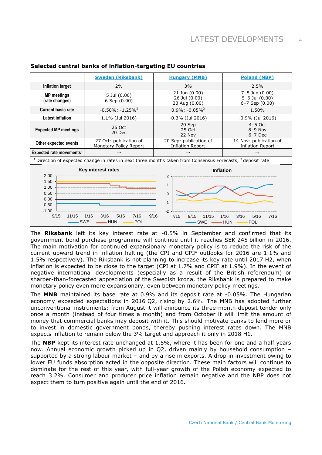|                                                                                                                 | <b>Sweden (Riksbank)</b>                                         | <b>Hungary (MNB)</b>                                        | <b>Poland (NBP)</b>                                 |  |
|-----------------------------------------------------------------------------------------------------------------|------------------------------------------------------------------|-------------------------------------------------------------|-----------------------------------------------------|--|
| Inflation target                                                                                                | 2%                                                               | 3%                                                          | 2.5%                                                |  |
| <b>MP</b> meetings<br>(rate changes)                                                                            | 5 Jul (0.00)<br>$6$ Sep $(0.00)$                                 | 21 Jun (0.00)<br>26 Jul (0.00)<br>23 Aug (0.00)             | 7-8 Jun (0.00)<br>5-6 Jul (0.00)<br>6-7 Sep (0.00)  |  |
| <b>Current basic rate</b>                                                                                       | $-0.50\%$ ; $-1.25\%$ <sup>2</sup>                               | $0.9\%$ ; -0.05% <sup>2</sup>                               | 1.50%                                               |  |
| <b>Latest inflation</b>                                                                                         | 1.1% (Jul 2016)                                                  | $-0.3\%$ (Jul 2016)                                         | $-0.9\%$ (Jul 2016)                                 |  |
| <b>Expected MP meetings</b>                                                                                     | 26 Oct<br>20 Dec                                                 | 20 Sep<br>25 Oct<br>22 Nov                                  | $4-5$ Oct<br>$8-9$ Nov<br>$6-7$ Dec                 |  |
| Other expected events                                                                                           | 27 Oct: publication of<br>Monetary Policy Report                 | 20 Sep: publication of<br><b>Inflation Report</b>           | 14 Nov: publication of<br><b>Inflation Report</b>   |  |
| Expected rate movements <sup>1</sup>                                                                            | $\rightarrow$                                                    |                                                             |                                                     |  |
| $1$ Direction of expected change in rates in next three months taken from Consensus Forecasts, $2$ deposit rate |                                                                  |                                                             |                                                     |  |
| Key interest rates<br><b>Inflation</b><br>2,00<br>$\overline{2}$<br>1,50<br>$\mathbf{1}$<br>1,00                |                                                                  |                                                             |                                                     |  |
| 0,50<br>0,00<br>$-0,50$<br>$-1,00$<br>9/15<br>11/15                                                             | 1/16<br>3/16<br>7/16<br>9/16<br>5/16<br>SWE<br><b>HUN</b><br>POL | $\mathbf 0$<br>$-1$<br>$-2$<br>7/15<br>9/15<br>11/15<br>SWE | 3/16<br>1/16<br>5/16<br>7/16<br><b>POL</b><br>- HUN |  |

#### **Selected central banks of inflation-targeting EU countries**

The **Riksbank** left its key interest rate at -0.5% in September and confirmed that its government bond purchase programme will continue until it reaches SEK 245 billion in 2016. The main motivation for continued expansionary monetary policy is to reduce the risk of the current upward trend in inflation halting (the CPI and CPIF outlooks for 2016 are 1.1% and 1.5% respectively). The Riksbank is not planning to increase its key rate until 2017 H2, when inflation is expected to be close to the target (CPI at 1.7% and CPIF at 1.9%). In the event of negative international developments (especially as a result of the British referendum) or sharper-than-forecasted appreciation of the Swedish krona, the Riksbank is prepared to make monetary policy even more expansionary, even between monetary policy meetings.

The **MNB** maintained its base rate at 0.9% and its deposit rate at -0.05%. The Hungarian economy exceeded expectations in 2016 Q2, rising by 2.6%. The MNB has adopted further unconventional instruments: from August it will announce its three-month deposit tender only once a month (instead of four times a month) and from October it will limit the amount of money that commercial banks may deposit with it. This should motivate banks to lend more or to invest in domestic government bonds, thereby pushing interest rates down. The MNB expects inflation to remain below the 3% target and approach it only in 2018 H1.

The **NBP** kept its interest rate unchanged at 1.5%, where it has been for one and a half years now. Annual economic growth picked up in Q2, driven mainly by household consumption – supported by a strong labour market – and by a rise in exports. A drop in investment owing to lower EU funds absorption acted in the opposite direction. These main factors will continue to dominate for the rest of this year, with full-year growth of the Polish economy expected to reach 3.2%. Consumer and producer price inflation remain negative and the NBP does not expect them to turn positive again until the end of 2016**.**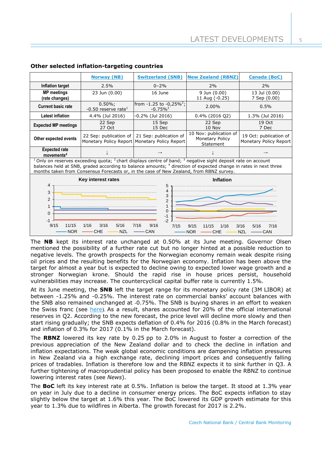|                                                                                                                                                                                                                                                                                                                                                                       | <b>Norway (NB)</b>                  | <b>Switzerland (SNB)</b>                                                | <b>New Zealand (RBNZ)</b>                              | <b>Canada (BoC)</b>                              |  |
|-----------------------------------------------------------------------------------------------------------------------------------------------------------------------------------------------------------------------------------------------------------------------------------------------------------------------------------------------------------------------|-------------------------------------|-------------------------------------------------------------------------|--------------------------------------------------------|--------------------------------------------------|--|
| Inflation target                                                                                                                                                                                                                                                                                                                                                      | 2.5%                                | $0 - 2%$                                                                | 2%                                                     | 2%                                               |  |
| <b>MP</b> meetings<br>(rate changes)                                                                                                                                                                                                                                                                                                                                  | 23 Jun (0.00)                       | 16 June                                                                 | 9 Jun (0.00)<br>11 Aug (-0.25)                         | 13 Jul (0.00)<br>7 Sep (0.00)                    |  |
| <b>Current basic rate</b>                                                                                                                                                                                                                                                                                                                                             | $0.50\%;$<br>-0.50 reserve rate $1$ | from $-1.25$ to $-0.25\%^2$ ;<br>$-0.75\%$ <sup>3</sup>                 | 2.00%                                                  | 0.5%                                             |  |
| <b>Latest inflation</b>                                                                                                                                                                                                                                                                                                                                               | 4.4% (Jul 2016)                     | -0.2% (Jul 2016)                                                        | 0.4% (2016 Q2)                                         | 1.3% (Jul 2016)                                  |  |
| <b>Expected MP meetings</b>                                                                                                                                                                                                                                                                                                                                           | 22 Sep<br>27 Oct                    | 15 Sep<br>15 Dec                                                        | 22 Sep<br>10 Nov                                       | 19 Oct<br>7 Dec                                  |  |
| Other expected events                                                                                                                                                                                                                                                                                                                                                 | 22 Sep: publication of              | 21 Sep: publication of<br>Monetary Policy Report Monetary Policy Report | 10 Nov: publication of<br>Monetary Policy<br>Statement | 19 Oct: publication of<br>Monetary Policy Report |  |
| <b>Expected rate</b><br>movements <sup>4</sup>                                                                                                                                                                                                                                                                                                                        |                                     |                                                                         |                                                        |                                                  |  |
| $1$ Only on reserves exceeding quota; $2$ chart displays centre of band; $3$ negative sight deposit rate on account<br>balances held at SNB, graded according to balance amounts; <sup>4</sup> direction of expected change in rates in next three<br>months taken from Consensus Forecasts or, in the case of New Zealand, from RBNZ survey.                         |                                     |                                                                         |                                                        |                                                  |  |
| Key interest rates<br><b>Inflation</b><br>4<br>5<br>4<br>3<br>3<br>$\overline{2}$<br>$\overline{2}$<br>1<br>$\Omega$<br>$\Omega$<br>$-1$<br>$\cdot$<br>$-1$<br>11/15<br>1/16<br>3/16<br>5/16<br>7/16<br>9/16<br>9/15<br>7/15<br>9/15<br>3/16<br>11/15<br>1/16<br>7/16<br>5/16<br><b>NZL</b><br><b>NOR</b><br><b>CHE</b><br>CAN<br><b>NOR</b><br>NZL<br>CHE<br>$-$ CAN |                                     |                                                                         |                                                        |                                                  |  |

# **Other selected inflation-targeting countries**

The **NB** kept its interest rate unchanged at 0.50% at its June meeting. Governor Olsen mentioned the possibility of a further rate cut but no longer hinted at a possible reduction to negative levels. The growth prospects for the Norwegian economy remain weak despite rising oil prices and the resulting benefits for the Norwegian economy. Inflation has been above the target for almost a year but is expected to decline owing to expected lower wage growth and a stronger Norwegian krone. Should the rapid rise in house prices persist, household vulnerabilities may increase. The countercyclical capital buffer rate is currently 1.5%.

At its June meeting, the **SNB** left the target range for its monetary policy rate (3M LIBOR) at between -1.25% and -0.25%. The interest rate on commercial banks' account balances with the SNB also remained unchanged at -0.75%. The SNB is buying shares in an effort to weaken the Swiss franc (see [here](http://www.reuters.com/article/swiss-snb-stocks-idUSL8N1B7383)). As a result, shares accounted for 20% of the official international reserves in Q2. According to the new forecast, the price level will decline more slowly and then start rising gradually; the SNB expects deflation of 0.4% for 2016 (0.8% in the March forecast) and inflation of 0.3% for 2017 (0.1% in the March forecast).

The **RBNZ** lowered its key rate by 0.25 pp to 2.0% in August to foster a correction of the previous appreciation of the New Zealand dollar and to check the decline in inflation and inflation expectations. The weak global economic conditions are dampening inflation pressures in New Zealand via a high exchange rate, declining import prices and consequently falling prices of tradables. Inflation is therefore low and the RBNZ expects it to sink further in Q3. A further tightening of macroprudential policy has been proposed to enable the RBNZ to continue lowering interest rates (see *News*).

The **BoC** left its key interest rate at 0.5%. Inflation is below the target. It stood at 1.3% year on year in July due to a decline in consumer energy prices. The BoC expects inflation to stay slightly below the target at 1.6% this year. The BoC lowered its GDP growth estimate for this year to 1.3% due to wildfires in Alberta. The growth forecast for 2017 is 2.2%.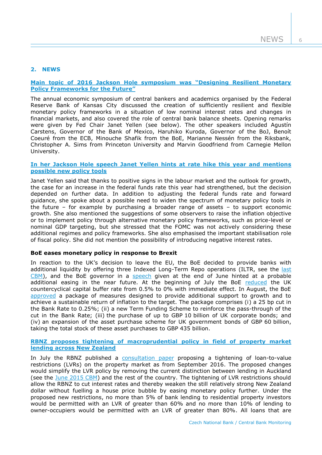# **2. NEWS**

# **[Main topic of 2016 Jackson Hole symposium was](https://www.kansascityfed.org/publications/research/escp/symposiums/escp-2016) "Designing Resilient Monetary [Policy Frameworks for the Future](https://www.kansascityfed.org/publications/research/escp/symposiums/escp-2016)"**

The annual economic symposium of central bankers and academics organised by the Federal Reserve Bank of Kansas City discussed the creation of sufficiently resilient and flexible monetary policy frameworks in a situation of low nominal interest rates and changes in financial markets, and also covered the role of central bank balance sheets. Opening remarks were given by Fed Chair Janet Yellen (see below). The other speakers included Agustín Carstens, Governor of the Bank of Mexico, Haruhiko Kuroda, Governor of the BoJ, Benoít Coeuré from the ECB, Minouche Shafik from the BoE, Marianne Nessén from the Riksbank, Christopher A. Sims from Princeton University and Marvin Goodfriend from Carnegie Mellon University.

# **In her Jackson Hole speech Janet Yellen hints at rate hike this year and mentions possible new policy tools**

Janet Yellen said that thanks to positive signs in the labour market and the outlook for growth, the case for an increase in the federal funds rate this year had strengthened, but the decision depended on further data. In addition to adjusting the federal funds rate and forward guidance, she spoke about a possible need to widen the spectrum of monetary policy tools in the future – for example by purchasing a broader range of assets – to support economic growth. She also mentioned the suggestions of some observers to raise the inflation objective or to implement policy through alternative monetary policy frameworks, such as price-level or nominal GDP targeting, but she stressed that the FOMC was not actively considering these additional regimes and policy frameworks. She also emphasised the important stabilisation role of fiscal policy. She did not mention the possibility of introducing negative interest rates.

#### **BoE eases monetary policy in response to Brexit**

In reaction to the UK's decision to leave the EU, the BoE decided to provide banks with additional liquidity by offering three Indexed Long-Term Repo operations (ILTR, see the last [CBM\)](http://www.cnb.cz/miranda2/export/sites/www.cnb.cz/en/monetary_policy/monitoring/download/1602_cbm.pdf), and the BoE governor in a [speech](http://www.bankofengland.co.uk/publications/Documents/speeches/2016/speech915.pdf) given at the end of June hinted at a probable additional easing in the near future. At the beginning of July the BoE [reduced](http://www.bankofengland.co.uk/publications/Pages/Records/fpc/2016/record1607.aspx) the UK countercyclical capital buffer rate from 0.5% to 0% with immediate effect. In August, the BoE [approved](http://www.bankofengland.co.uk/publications/Pages/news/2016/008.aspx) a package of measures designed to provide additional support to growth and to achieve a sustainable return of inflation to the target. The package comprises (i) a 25 bp cut in the Bank Rate to 0.25%; (ii) a new Term Funding Scheme to reinforce the pass-through of the cut in the Bank Rate; (iii) the purchase of up to GBP 10 billion of UK corporate bonds; and (iv) an expansion of the asset purchase scheme for UK government bonds of GBP 60 billion, taking the total stock of these asset purchases to GBP 435 billion.

# **[RBNZ proposes tightening of macroprudential](http://www.rbnz.govt.nz/news/2016/07/reserve-bank-consults-on-new-nationwide-investor-lvr-restrictions) policy in field of property market [lending across New Zealand](http://www.rbnz.govt.nz/news/2016/07/reserve-bank-consults-on-new-nationwide-investor-lvr-restrictions)**

In July the RBNZ published a [consultation paper](http://www.rbnz.govt.nz/-/media/ReserveBank/Files/regulation-and-supervision/banks/consultations/Consultation-paper-july-2016-adjustments-restrictions-high-LVR-lending.pdf?la=en) proposing a tightening of loan-to-value restrictions (LVRs) on the property market as from September 2016. The proposed changes would simplify the LVR policy by removing the current distinction between lending in Auckland (see the [June 2015](http://www.cnb.cz/miranda2/export/sites/www.cnb.cz/en/monetary_policy/monitoring/download/1502_cbm.pdf) CBM) and the rest of the country. The tightening of LVR restrictions should allow the RBNZ to cut interest rates and thereby weaken the still relatively strong New Zealand dollar without fuelling a house price bubble by easing monetary policy further. Under the proposed new restrictions, no more than 5% of bank lending to residential property investors would be permitted with an LVR of greater than 60% and no more than 10% of lending to owner-occupiers would be permitted with an LVR of greater than 80%. All loans that are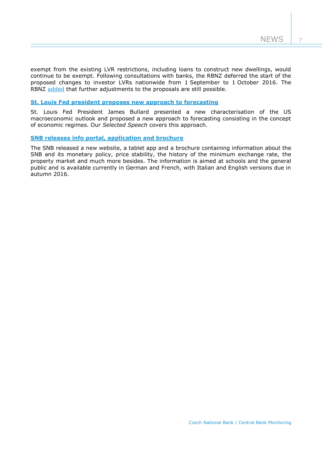exempt from the existing LVR restrictions, including loans to construct new dwellings, would continue to be exempt. Following consultations with banks, the RBNZ deferred the start of the proposed changes to investor LVRs nationwide from 1 September to 1 October 2016. The RBNZ [added](http://www.rbnz.govt.nz/news/2016/08/lvr-start-date-deferred-until-1-october-2016) that further adjustments to the proposals are still possible.

# **[St. Louis Fed president proposes new approach to forecasting](https://www.stlouisfed.org/from-the-president/commentary/2016/new-characterization-outlook-economy)**

St. Louis Fed President James Bullard presented a new characterisation of the US macroeconomic outlook and proposed a new approach to forecasting consisting in the concept of economic regimes. Our *Selected Speech* covers this approach.

#### **SNB releases [info portal, application and brochure](http://www.snb.ch/en/iabout/pub/pub_snb/id/pub_our_snb)**

The SNB released a new website, a tablet app and a brochure containing information about the SNB and its monetary policy, price stability, the history of the minimum exchange rate, the property market and much more besides. The information is aimed at schools and the general public and is available currently in German and French, with Italian and English versions due in autumn 2016.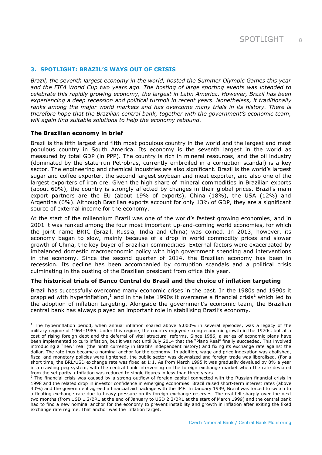#### **3. SPOTLIGHT: BRAZIL'S WAYS OUT OF CRISIS**

*Brazil, the seventh largest economy in the world, hosted the Summer Olympic Games this year and the FIFA World Cup two years ago. The hosting of large sporting events was intended to celebrate this rapidly growing economy, the largest in Latin America. However, Brazil has been experiencing a deep recession and political turmoil in recent years. Nonetheless, it traditionally ranks among the major world markets and has overcome many trials in its history. There is therefore hope that the Brazilian central bank, together with the government's economic team, will again find suitable solutions to help the economy rebound.*

#### **The Brazilian economy in brief**

1

Brazil is the fifth largest and fifth most populous country in the world and the largest and most populous country in South America. Its economy is the seventh largest in the world as measured by total GDP (in PPP). The country is rich in mineral resources, and the oil industry (dominated by the state-run Petrobras, currently embroiled in a corruption scandal) is a key sector. The engineering and chemical industries are also significant. Brazil is the world's largest sugar and coffee exporter, the second largest soybean and meat exporter, and also one of the largest exporters of iron ore. Given the high share of mineral commodities in Brazilian exports (about 60%), the country is strongly affected by changes in their global prices. Brazil's main export partners are the EU (about 19% of exports), China (18%), the USA (12%) and Argentina (6%). Although Brazilian exports account for only 13% of GDP, they are a significant source of external income for the economy.

At the start of the millennium Brazil was one of the world's fastest growing economies, and in 2001 it was ranked among the four most important up-and-coming world economies, for which the joint name BRIC (Brazil, Russia, India and China) was coined. In 2013, however, its economy began to slow, mainly because of a drop in world commodity prices and slower growth of China, the key buyer of Brazilian commodities. External factors were exacerbated by imbalanced domestic macroeconomic policy with high government spending and interventions in the economy. Since the second quarter of 2014, the Brazilian economy has been in recession. Its decline has been accompanied by corruption scandals and a political crisis culminating in the ousting of the Brazilian president from office this year.

#### **The historical trials of Banco Central do Brasil and the choice of inflation targeting**

Brazil has successfully overcome many economic crises in the past. In the 1980s and 1990s it grappled with hyperinflation,<sup>1</sup> and in the late 1990s it overcame a financial crisis<sup>2</sup> which led to the adoption of inflation targeting. Alongside the government's economic team, the Brazilian central bank has always played an important role in stabilising Brazil's economy.

 $1$  The hyperinflation period, when annual inflation soared above 5,000% in several episodes, was a legacy of the military regime of 1964–1985. Under this regime, the country enjoyed strong economic growth in the 1970s, but at a cost of rising foreign debt and the deferral of vital structural reforms. Since 1986, a series of economic plans have been implemented to curb inflation, but it was not until July 2014 that the "Plano Real" finally succeeded. This involved introducing a "new" real (the ninth currency in Brazil's independent history) and fixing its exchange rate against the dollar. The rate thus became a nominal anchor for the economy. In addition, wage and price indexation was abolished, fiscal and monetary policies were tightened, the public sector was downsized and foreign trade was liberalised. (For a short time, the BRL/USD exchange rate was fixed at 1:1. As from March 1995 it was gradually devalued by 8% a year in a crawling peg system, with the central bank intervening on the foreign exchange market when the rate deviated from the set parity.) Inflation was reduced to single figures in less than three years.

 $<sup>2</sup>$  The financial crisis was caused by a strong outflow of foreign capital connected with the Russian financial crisis in</sup> 1998 and the related drop in investor confidence in emerging economies. Brazil raised short-term interest rates (above 40%) and the government agreed a financial aid package with the IMF. In January 1999, Brazil was forced to switch to a floating exchange rate due to heavy pressure on its foreign exchange reserves. The real fell sharply over the next two months (from USD 1.2/BRL at the end of January to USD 2.2/BRL at the start of March 1999) and the central bank had to find a new nominal anchor for the economy to prevent instability and growth in inflation after exiting the fixed exchange rate regime. That anchor was the inflation target.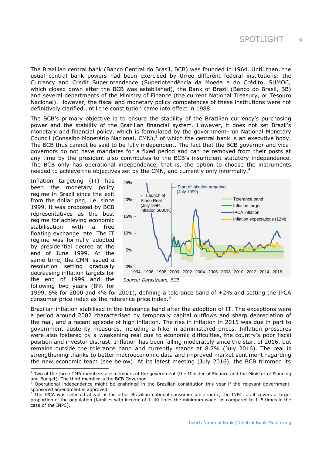The Brazilian central bank (Banco Central do Brasil, BCB) was founded in 1964. Until then, the usual central bank powers had been exercised by three different federal institutions: the Currency and Credit Superintendence (Superintendência da Moeda e do Crédito, SUMOC, which closed down after the BCB was established), the Bank of Brazil (Banco do Brasil, BB) and several departments of the Ministry of Finance (the current National Treasury, or Tesouro Nacional). However, the fiscal and monetary policy competences of these institutions were not definitively clarified until the constitution came into effect in 1988.

The BCB's primary objective is to ensure the stability of the Brazilian currency's purchasing power and the stability of the Brazilian financial system. However, it does not set Brazil's monetary and financial policy, which is formulated by the government-run National Monetary Council (Conselho Monetário Nacional, CMN), $<sup>3</sup>$  of which the central bank is an executive body.</sup> The BCB thus cannot be said to be fully independent. The fact that the BCB governor and vicegovernors do not have mandates for a fixed period and can be removed from their posts at any time by the president also contributes to the BCB's insufficient statutory independence. The BCB only has operational independence, that is, the option to choose the instruments needed to achieve the objectives set by the CMN, and currently only informally.<sup>4</sup>

Inflation targeting (IT) has been the monetary policy regime in Brazil since the exit from the dollar peg, i.e. since 1999. It was proposed by BCB representatives as the best regime for achieving economic stabilisation with a free floating exchange rate. The IT regime was formally adopted by presidential decree at the end of June 1999. At the same time, the CMN issued a resolution setting gradually decreasing inflation targets for the end of 1999 and the following two years (8% for

-



1999, 6% for 2000 and 4% for 2001), defining a tolerance band of  $\pm 2$ % and setting the IPCA consumer price index as the reference price index.<sup>5</sup>

Brazilian inflation stabilised in the tolerance band after the adoption of IT. The exceptions were a period around 2002 characterised by temporary capital outflows and sharp depreciation of the real, and a recent episode of high inflation. The rise in inflation in 2015 was due in part to government austerity measures, including a hike in administered prices. Inflation pressures were also fostered by a weakening real due to economic difficulties, the country's poor fiscal position and investor distrust. Inflation has been falling moderately since the start of 2016, but remains outside the tolerance band and currently stands at 8.7% (July 2016). The real is strengthening thanks to better macroeconomic data and improved market sentiment regarding the new economic team (see below). At its latest meeting (July 2016), the BCB trimmed its

 $3$  Two of the three CMN members are members of the government (the Minister of Finance and the Minister of Planning and Budget). The third member is the BCB Governor.

<sup>4</sup> Operational independence might be enshrined in the Brazilian constitution this year if the relevant governmentsponsored amendment is approved.

The IPCA was selected ahead of the other Brazilian national consumer price index, the INPC, as it covers a larger proportion of the population (families with income of 1–40 times the minimum wage, as compared to 1–5 times in the case of the INPC).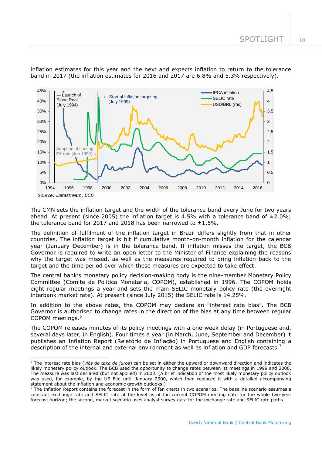inflation estimates for this year and the next and expects inflation to return to the tolerance band in 2017 (the inflation estimates for 2016 and 2017 are 6.8% and 5.3% respectively).



The CMN sets the inflation target and the width of the tolerance band every June for two years ahead. At present (since 2005) the inflation target is 4.5% with a tolerance band of  $\pm 2.0\%$ : the tolerance band for 2017 and 2018 has been narrowed to  $\pm 1.5\%$ .

The definition of fulfilment of the inflation target in Brazil differs slightly from that in other countries. The inflation target is hit if cumulative month-on-month inflation for the calendar year (January–December) is in the tolerance band. If inflation misses the target, the BCB Governor is required to write an open letter to the Minister of Finance explaining the reasons why the target was missed, as well as the measures required to bring inflation back to the target and the time period over which these measures are expected to take effect.

The central bank's monetary policy decision-making body is the nine-member Monetary Policy Committee (Comite de Politica Monetaria, COPOM), established in 1996. The COPOM holds eight regular meetings a year and sets the main SELIC monetary policy rate (the overnight interbank market rate). At present (since July 2015) the SELIC rate is 14.25%.

In addition to the above rates, the COPOM may declare an "interest rate bias". The BCB Governor is authorised to change rates in the direction of the bias at any time between regular COPOM meetings.<sup>6</sup>

The COPOM releases minutes of its policy meetings with a one-week delay (in Portuguese and, several days later, in English). Four times a year (in March, June, September and December) it publishes an Inflation Report (Relatório de Inflação) in Portuguese and English containing a description of the internal and external environment as well as inflation and GDP forecasts.<sup>7</sup>

-

<sup>6</sup> The interest rate bias (*viés de taxa de juros*) can be set in either the upward or downward direction and indicates the likely monetary policy outlook. The BCB used the opportunity to change rates between its meetings in 1999 and 2000. The measure was last declared (but not applied) in 2003. (A brief indication of the most likely monetary policy outlook was used, for example, by the US Fed until January 2000, which then replaced it with a detailed accompanying statement about the inflation and economic growth outlooks.)

<sup>&</sup>lt;sup>7</sup> The Inflation Report contains the forecast in the form of fan charts in two scenarios. The baseline scenario assumes a constant exchange rate and SELIC rate at the level as of the current COPOM meeting date for the whole two-year forecast horizon; the second, market scenario uses analyst survey data for the exchange rate and SELIC rate paths.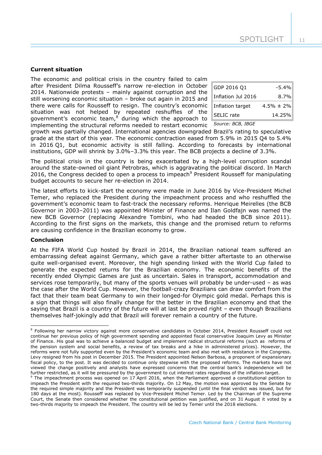#### **Current situation**

The economic and political crisis in the country failed to calm after President Dilma Rousseff's narrow re-election in October 2014. Nationwide protests – mainly against corruption and the still worsening economic situation – broke out again in 2015 and there were calls for Rousseff to resign. The country's economic situation was not helped by repeated reshuffles of the government's economic team, $8$  during which the approach to implementing the structural reforms needed to restart economic

| GDP 2016 Q1        | $-5.4%$         |
|--------------------|-----------------|
| Inflation Jul 2016 | $8.7\%$         |
| Inflation target   | $4.5\% \pm 2\%$ |
| SELIC rate         | 14.25%          |

#### *Source: BCB, IBGE*

growth was partially changed. International agencies downgraded Brazil's rating to speculative grade at the start of this year. The economic contraction eased from 5.9% in 2015 Q4 to 5.4% in 2016 Q1, but economic activity is still falling. According to forecasts by international institutions, GDP will shrink by 3.0%–3.3% this year. The BCB projects a decline of 3.3%.

The political crisis in the country is being exacerbated by a high-level corruption scandal around the state-owned oil giant Petrobras, which is aggravating the political discord. In March 2016, the Congress decided to open a process to impeach<sup>9</sup> President Rousseff for manipulating budget accounts to secure her re-election in 2014.

The latest efforts to kick-start the economy were made in June 2016 by Vice-President Michel Temer, who replaced the President during the impeachment process and who reshuffled the government's economic team to fast-track the necessary reforms. Henrique Meirelles (the BCB Governor in 2003–2011) was appointed Minister of Finance and Ilan Goldfajn was named the new BCB Governor (replacing Alexandre Tombini, who had headed the BCB since 2011). According to the first signs on the markets, this change and the promised return to reforms are causing confidence in the Brazilian economy to grow.

#### **Conclusion**

 $\overline{a}$ 

At the FIFA World Cup hosted by Brazil in 2014, the Brazilian national team suffered an embarrassing defeat against Germany, which gave a rather bitter aftertaste to an otherwise quite well-organised event. Moreover, the high spending linked with the World Cup failed to generate the expected returns for the Brazilian economy. The economic benefits of the recently ended Olympic Games are just as uncertain. Sales in transport, accommodation and services rose temporarily, but many of the sports venues will probably be under-used – as was the case after the World Cup. However, the football-crazy Brazilians can draw comfort from the fact that their team beat Germany to win their longed-for Olympic gold medal. Perhaps this is a sign that things will also finally change for the better in the Brazilian economy and that the saying that Brazil is a country of the future will at last be proved right – even though Brazilians themselves half-jokingly add that Brazil will forever remain a country of the future.

<sup>&</sup>lt;sup>8</sup> Following her narrow victory against more conservative candidates in October 2014, President Rousseff could not continue her previous policy of high government spending and appointed fiscal conservative Joaquim Levy as Minister of Finance. His goal was to achieve a balanced budget and implement radical structural reforms (such as reforms of the pension system and social benefits, a review of tax breaks and a hike in administered prices). However, the reforms were not fully supported even by the President's economic team and also met with resistance in the Congress. Levy resigned from his post in December 2015. The President appointed Nelson Barbosa, a proponent of expansionary fiscal policy, to the post. It was decided to continue only stepwise with the proposed reforms. The markets have not viewed the change positively and analysts have expressed concerns that the central bank's independence will be further restricted, as it will be pressured by the government to cut interest rates regardless of the inflation target.

<sup>9</sup> The impeachment process was opened on 17 April 2016, when the Parliament approved a constitutional petition to impeach the President with the required two-thirds majority. On 12 May, the motion was approved by the Senate by the required simple majority and the President was temporarily suspended (until the final verdict was issued, but for 180 days at the most). Rousseff was replaced by Vice-President Michel Temer. Led by the Chairman of the Supreme Court, the Senate then considered whether the constitutional petition was justified, and on 31 August it voted by a two-thirds majority to impeach the President. The country will be led by Temer until the 2018 elections.